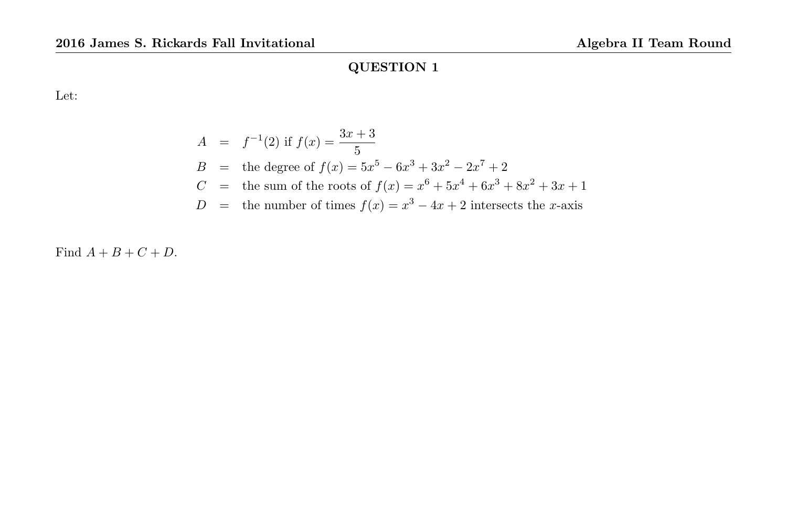Let:

$$
A = f^{-1}(2) \text{ if } f(x) = \frac{3x+3}{5}
$$
  
\n
$$
B = \text{the degree of } f(x) = 5x^5 - 6x^3 + 3x^2 - 2x^7 + 2
$$
  
\n
$$
C = \text{the sum of the roots of } f(x) = x^6 + 5x^4 + 6x^3 + 8x^2 + 3x + 1
$$
  
\n
$$
D = \text{the number of times } f(x) = x^3 - 4x + 2 \text{ intersects the } x\text{-axis}
$$

Find  $A + B + C + D$ .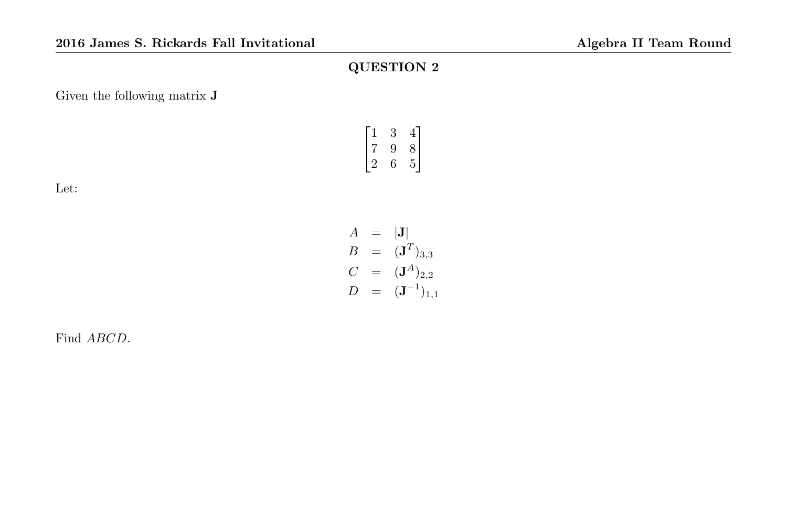Given the following matrix J

Let:

|   | ּי | ⊣      |
|---|----|--------|
| 7 | Ч  | Χ      |
|   |    | Ξ<br>г |

$$
A = |J| \n B = (JT)3,3 \n C = (JA)2,2 \n D = (J-1)1,1
$$

Find ABCD.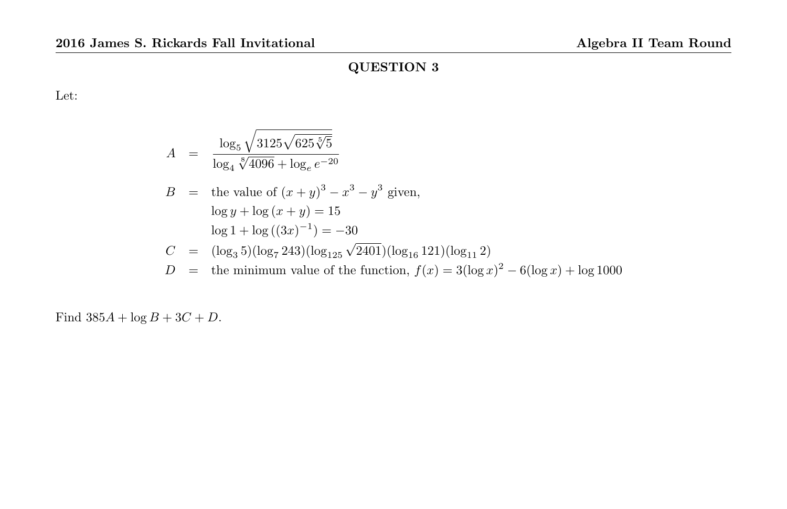Let:

$$
A = \frac{\log_5 \sqrt{3125\sqrt{625\sqrt[5]{5}}}}{\log_4 \sqrt[8]{4096} + \log_e e^{-20}}
$$
  
\n
$$
B = \text{the value of } (x + y)^3 - x^3 - y^3 \text{ given,}
$$
  
\n
$$
\log y + \log (x + y) = 15
$$
  
\n
$$
\log 1 + \log ((3x)^{-1}) = -30
$$
  
\n
$$
C = (\log_3 5)(\log_7 243)(\log_{125} \sqrt{2401})(\log_{16} 121)(\log_{11} 2)
$$
  
\n
$$
D = \text{the minimum value of the function, } f(x) = 3(\log x)^2 - 6(\log x) + \log 1000
$$

Find  $385A + \log B + 3C + D$ .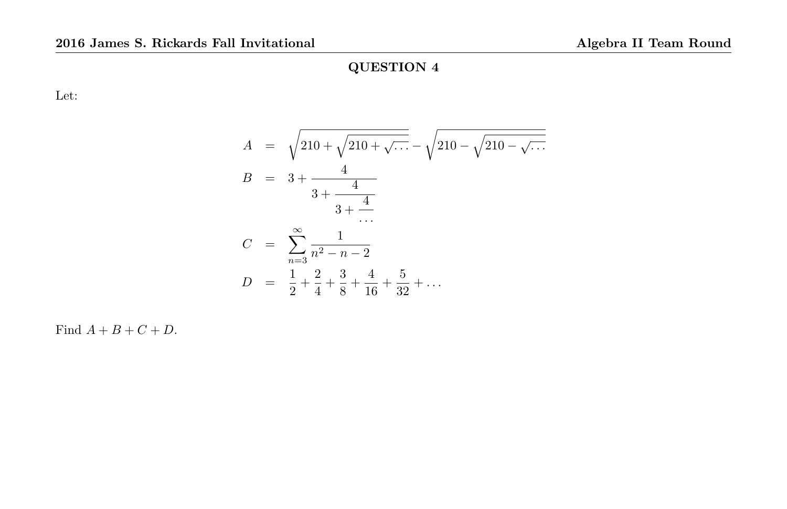Let:

$$
A = \sqrt{210 + \sqrt{210 + \sqrt{\ldots}} - \sqrt{210 - \sqrt{210 - \sqrt{\ldots}}}}
$$
  
\n
$$
B = 3 + \frac{4}{3 + \frac{4}{3 + \frac{4}{\ldots}}}
$$
  
\n
$$
C = \sum_{n=3}^{\infty} \frac{1}{n^2 - n - 2}
$$
  
\n
$$
D = \frac{1}{2} + \frac{2}{4} + \frac{3}{8} + \frac{4}{16} + \frac{5}{32} + \ldots
$$

Find  $A + B + C + D$ .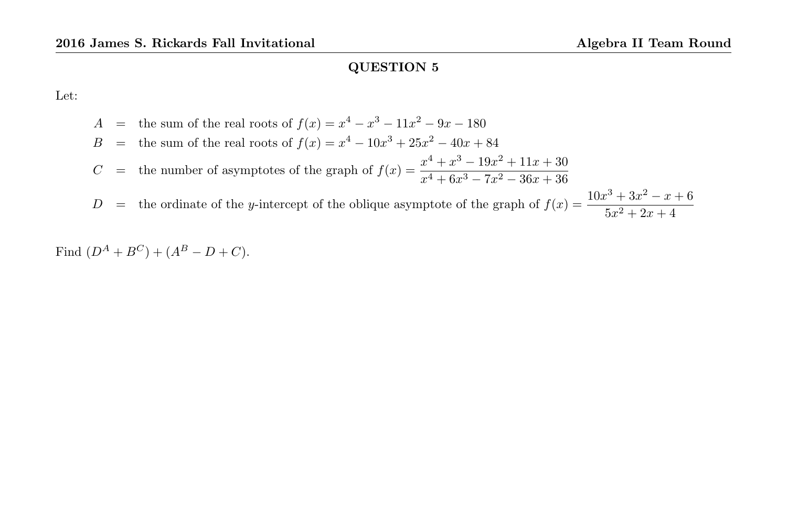Let:

$$
A = \text{the sum of the real roots of } f(x) = x^4 - x^3 - 11x^2 - 9x - 180
$$
  
\n
$$
B = \text{the sum of the real roots of } f(x) = x^4 - 10x^3 + 25x^2 - 40x + 84
$$
  
\n
$$
C = \text{the number of asymptotes of the graph of } f(x) = \frac{x^4 + x^3 - 19x^2 + 11x + 30}{x^4 + 6x^3 - 7x^2 - 36x + 36}
$$
  
\n
$$
D = \text{the ordinate of the } y\text{-intercept of the oblique asymptote of the graph of } f(x) = \frac{10x^3 + 3x^2 - x + 6}{5x^2 + 2x + 4}
$$

Find  $(D^A + B^C) + (A^B - D + C)$ .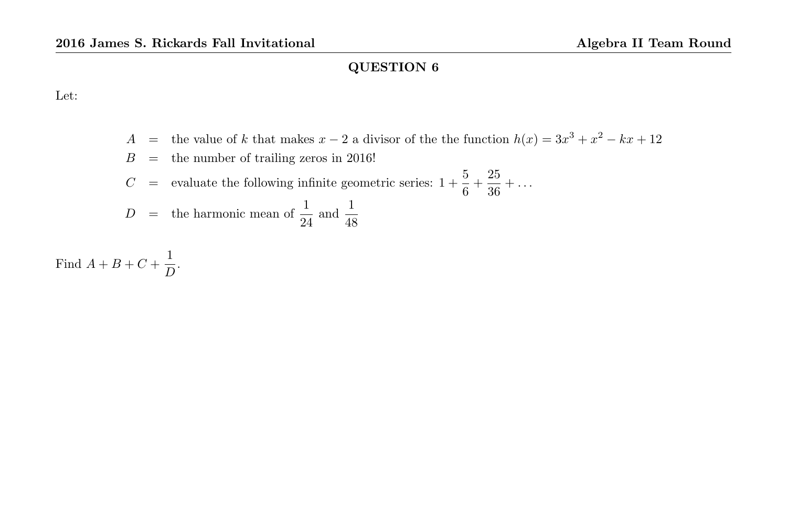Let:

A = the value of k that makes  $x - 2$  a divisor of the the function  $h(x) = 3x^3 + x^2 - kx + 12$ 

$$
B =
$$
 the number of trailing zeros in 2016!

C = evaluate the following infinite geometric series:  $1 + \frac{5}{6} + \frac{25}{36}$  $\frac{20}{36} + \ldots$ 

$$
D = \text{the harmonic mean of } \frac{1}{24} \text{ and } \frac{1}{48}
$$

Find  $A + B + C + \frac{1}{b}$  $\frac{1}{D}$ .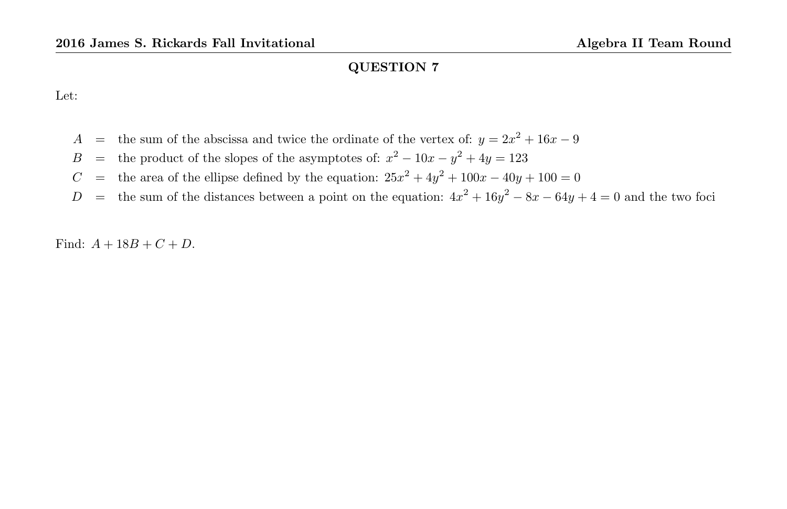Let:

- A = the sum of the abscissa and twice the ordinate of the vertex of:  $y = 2x^2 + 16x 9$
- B = the product of the slopes of the asymptotes of:  $x^2 10x y^2 + 4y = 123$
- C = the area of the ellipse defined by the equation:  $25x^2 + 4y^2 + 100x 40y + 100 = 0$
- D = the sum of the distances between a point on the equation:  $4x^2 + 16y^2 8x 64y + 4 = 0$  and the two foci

Find:  $A + 18B + C + D$ .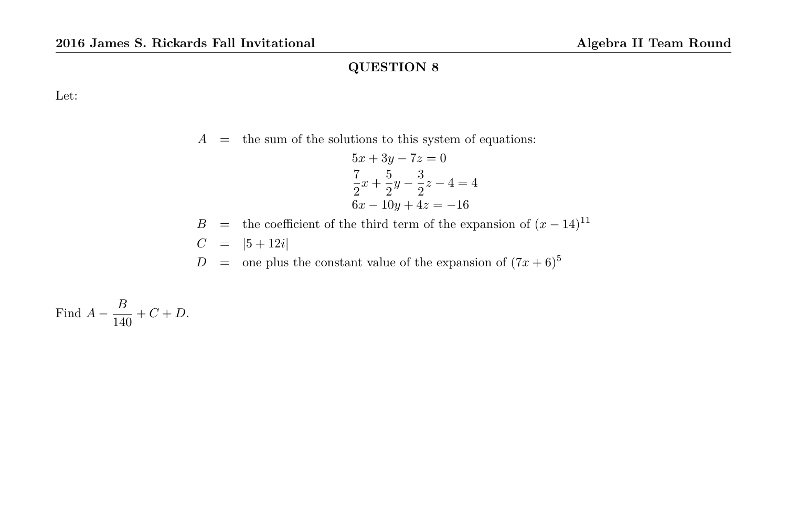Let:

 $A =$  the sum of the solutions to this system of equations:

$$
5x + 3y - 7z = 0
$$
  
\n
$$
\frac{7}{2}x + \frac{5}{2}y - \frac{3}{2}z - 4 = 4
$$
  
\n
$$
6x - 10y + 4z = -16
$$

B = the coefficient of the third term of the expansion of  $(x - 14)^{11}$  $C = |5 + 12i|$ 

 $D = \text{one plus the constant value of the expansion of } (7x+6)^5$ 

Find 
$$
A - \frac{B}{140} + C + D
$$
.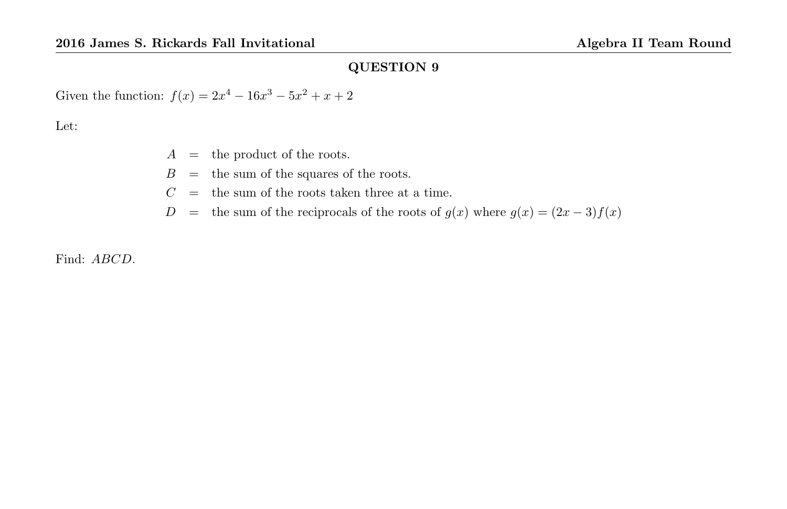Given the function:  $f(x) = 2x^4 - 16x^3 - 5x^2 + x + 2$ 

Let:

- $A =$  the product of the roots.
- $B =$  the sum of the squares of the roots.
- $C =$  the sum of the roots taken three at a time.
- D = the sum of the reciprocals of the roots of  $g(x)$  where  $g(x) = (2x 3)f(x)$

Find: ABCD.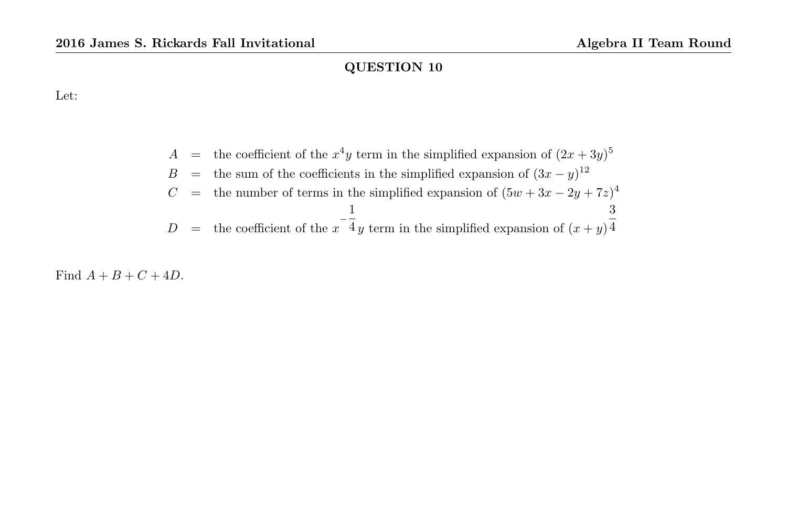Let:

$$
A =
$$
 the coefficient of the  $x^4y$  term in the simplified expansion of  $(2x + 3y)^5$   
\n
$$
B =
$$
 the sum of the coefficients in the simplified expansion of  $(3x - y)^{12}$   
\n
$$
C =
$$
 the number of terms in the simplified expansion of  $(5w + 3x - 2y + 7z)^4$   
\n
$$
D =
$$
 the coefficient of the  $x^{-\frac{1}{4}}y$  term in the simplified expansion of  $(x + y)^{\frac{3}{4}}$ 

Find  $A + B + C + 4D$ .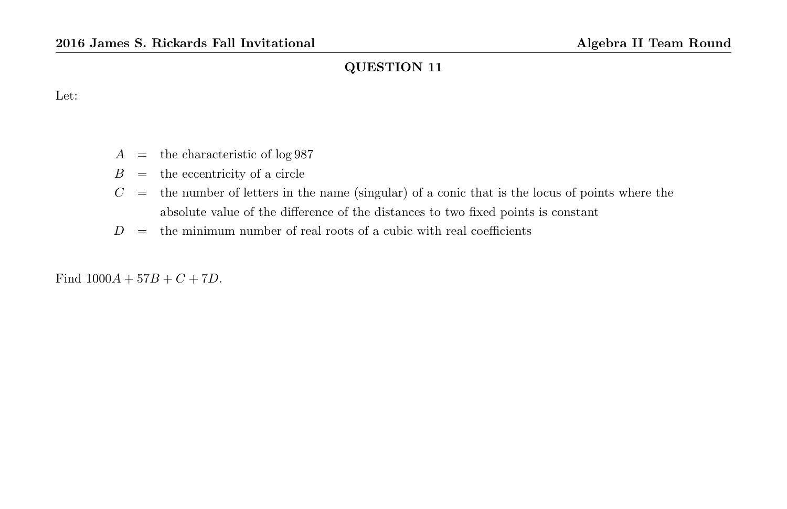Let:

- $A =$  the characteristic of log 987
- $B =$  the eccentricity of a circle
- $C =$  the number of letters in the name (singular) of a conic that is the locus of points where the absolute value of the difference of the distances to two fixed points is constant
- $D =$  the minimum number of real roots of a cubic with real coefficients

Find  $1000A + 57B + C + 7D$ .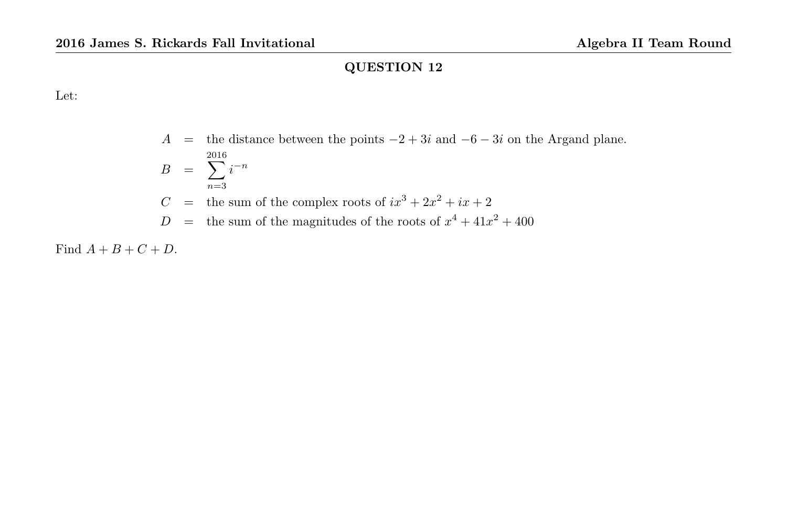Let:

# A = the distance between the points  $-2+3i$  and  $-6-3i$  on the Argand plane.  $B = \sum i^{-n}$ 2016  $n=3$  $C$  = the sum of the complex roots of  $ix^3 + 2x^2 + ix + 2$  $D =$  the sum of the magnitudes of the roots of  $x^4 + 41x^2 + 400$

Find  $A + B + C + D$ .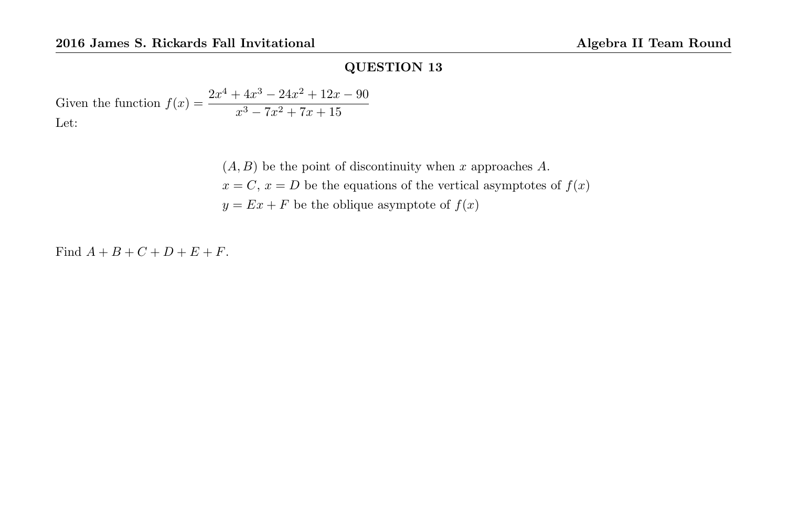Given the function  $f(x) = \frac{2x^4 + 4x^3 - 24x^2 + 12x - 90}{x^2 + 2x + 2}$  $x^3 - 7x^2 + 7x + 15$ Let:

> $(A, B)$  be the point of discontinuity when x approaches A.  $x = C, x = D$  be the equations of the vertical asymptotes of  $f(x)$  $y = Ex + F$  be the oblique asymptote of  $f(x)$

Find  $A + B + C + D + E + F$ .